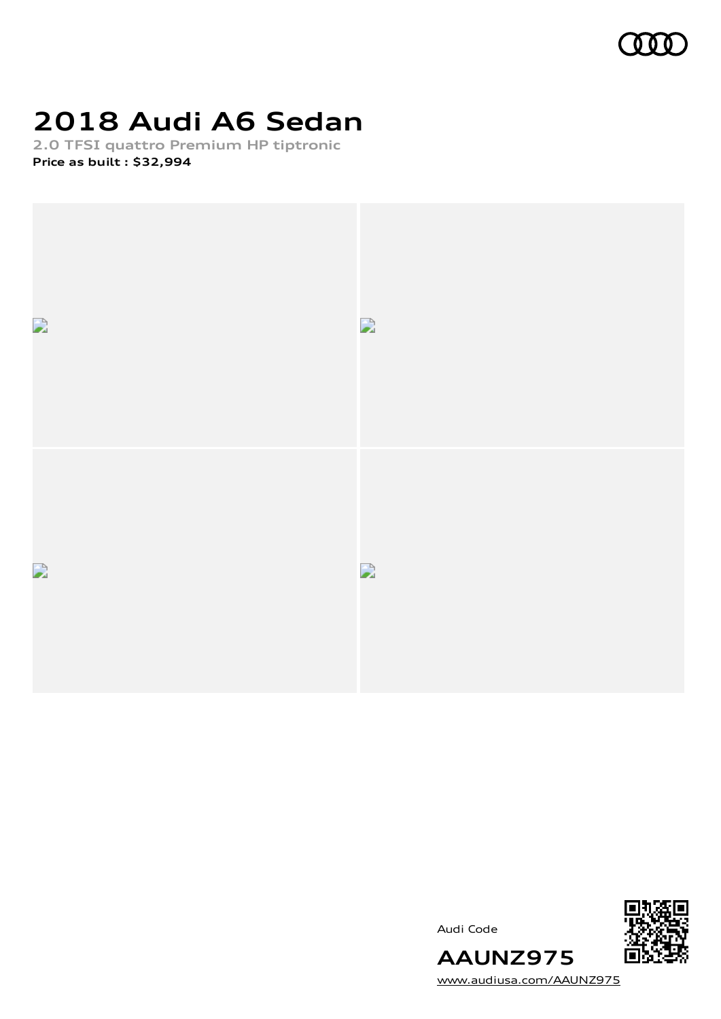

# **2018 Audi A6 Sedan**

**2.0 TFSI quattro Premium HP tiptronic Price as built [:](#page-10-0) \$32,994**







[www.audiusa.com/AAUNZ975](https://www.audiusa.com/AAUNZ975)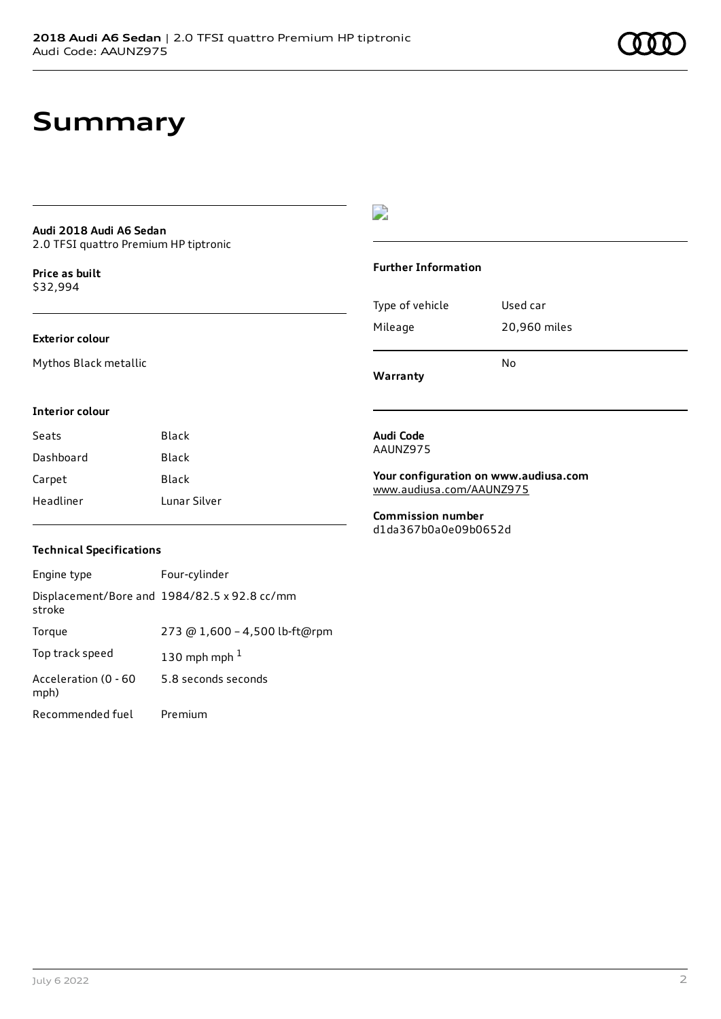# **Summary**

#### **Audi 2018 Audi A6 Sedan** 2.0 TFSI quattro Premium HP tiptronic

**Price as buil[t](#page-10-0)** \$32,994

### **Exterior colour**

Mythos Black metallic

## $\overline{\phantom{a}}$

#### **Further Information**

|                 | N٥           |
|-----------------|--------------|
| Mileage         | 20,960 miles |
| Type of vehicle | Used car     |

**Warranty**

#### **Interior colour**

| Seats     | Black        |
|-----------|--------------|
| Dashboard | Black        |
| Carpet    | Black        |
| Headliner | Lunar Silver |

#### **Audi Code** AAUNZ975

**Your configuration on www.audiusa.com** [www.audiusa.com/AAUNZ975](https://www.audiusa.com/AAUNZ975)

**Commission number** d1da367b0a0e09b0652d

### **Technical Specifications**

| Engine type                  | Four-cylinder                                |
|------------------------------|----------------------------------------------|
| stroke                       | Displacement/Bore and 1984/82.5 x 92.8 cc/mm |
| Torque                       | 273 @ 1,600 - 4,500 lb-ft@rpm                |
| Top track speed              | 130 mph mph $1$                              |
| Acceleration (0 - 60<br>mph) | 5.8 seconds seconds                          |
| Recommended fuel             | Premium                                      |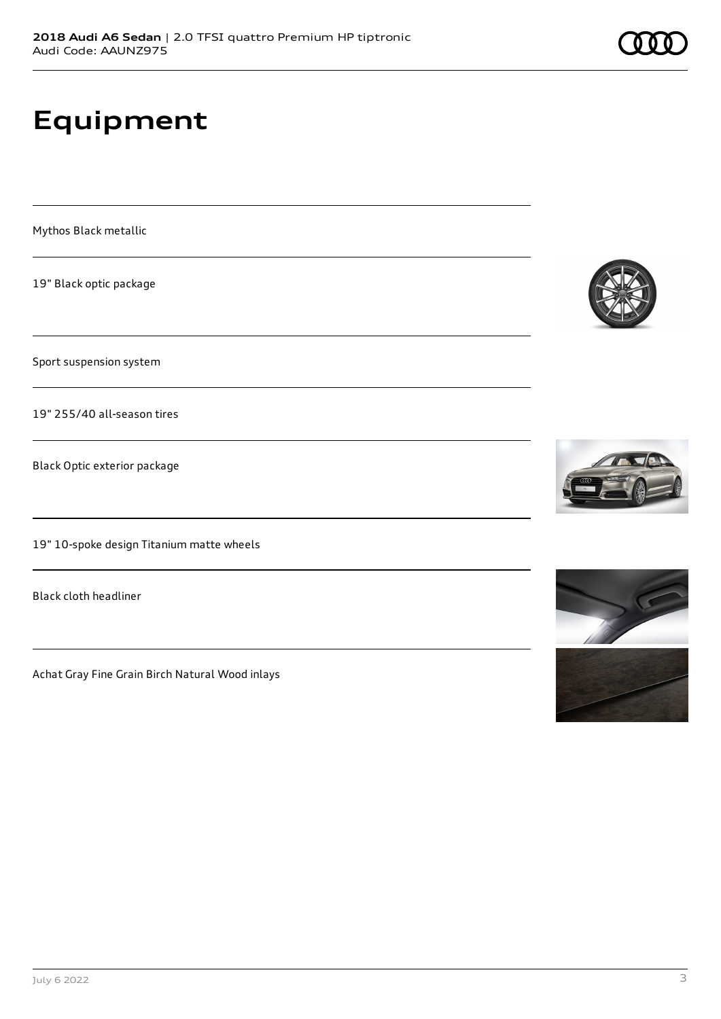# **Equipment**

Mythos Black metallic

19" Black optic package

Sport suspension system

19" 255/40 all-season tires

Black Optic exterior package

19" 10-spoke design Titanium matte wheels

Black cloth headliner

Achat Gray Fine Grain Birch Natural Wood inlays







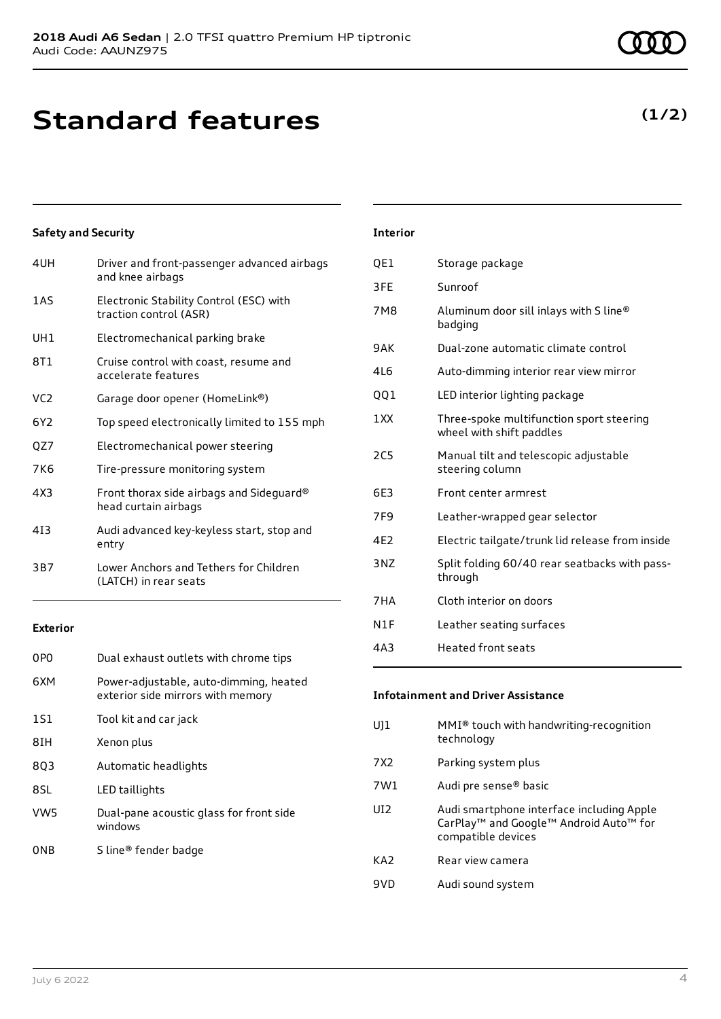# **Standard features**

### **Safety and Security**

| 4UH             | Driver and front-passenger advanced airbags<br>and knee airbags   |
|-----------------|-------------------------------------------------------------------|
| 1AS             | Electronic Stability Control (ESC) with<br>traction control (ASR) |
| UH1             | Electromechanical parking brake                                   |
| 8T1             | Cruise control with coast, resume and<br>accelerate features      |
| VC <sub>2</sub> | Garage door opener (HomeLink®)                                    |
| 6Y2             | Top speed electronically limited to 155 mph                       |
| QZ7             | Electromechanical power steering                                  |
| 7K6             | Tire-pressure monitoring system                                   |
| 4X3             | Front thorax side airbags and Sideguard®<br>head curtain airbags  |
| 413             | Audi advanced key-keyless start, stop and<br>entry                |
| 3B7             | Lower Anchors and Tethers for Children<br>(LATCH) in rear seats   |
|                 |                                                                   |

### **Exterior**

| 0P <sub>0</sub> | Dual exhaust outlets with chrome tips                                       |
|-----------------|-----------------------------------------------------------------------------|
| 6XM             | Power-adjustable, auto-dimming, heated<br>exterior side mirrors with memory |
| 1S1             | Tool kit and car jack                                                       |
| 8IH             | Xenon plus                                                                  |
| 803             | Automatic headlights                                                        |
| 8SL             | LED taillights                                                              |
| VW <sub>5</sub> | Dual-pane acoustic glass for front side<br>windows                          |
| ONB             | S line® fender badge                                                        |
|                 |                                                                             |

# QE1 Storage package 3FE Sunroof 7M8 Aluminum door sill inlays with S line® badging 9AK Dual-zone automatic climate control 4L6 Auto-dimming interior rear view mirror QQ1 LED interior lighting package 1XX Three-spoke multifunction sport steering wheel with shift paddles

**Interior**

| <b>2C5</b>      | Manual tilt and telescopic adjustable<br>steering column |
|-----------------|----------------------------------------------------------|
| 6E3             | Front center armrest                                     |
| 7F <sub>9</sub> | Leather-wrapped gear selector                            |
| 4E <sub>2</sub> | Electric tailgate/trunk lid release from inside          |
| 3NZ             | Split folding 60/40 rear seatbacks with pass-<br>through |
| 7HA             | Cloth interior on doors                                  |
| N1F             | Leather seating surfaces                                 |
| 4A <sub>3</sub> | <b>Heated front seats</b>                                |

#### **Infotainment and Driver Assistance**

- UJ1 MMI® touch with handwriting-recognition technology
- 7X2 Parking system plus
- 7W1 Audi pre sense® basic
- UI2 Audi smartphone interface including Apple CarPlay™ and Google™ Android Auto™ for compatible devices
- KA2 Rear view camera
- 9VD Audi sound system

# **(1/2)**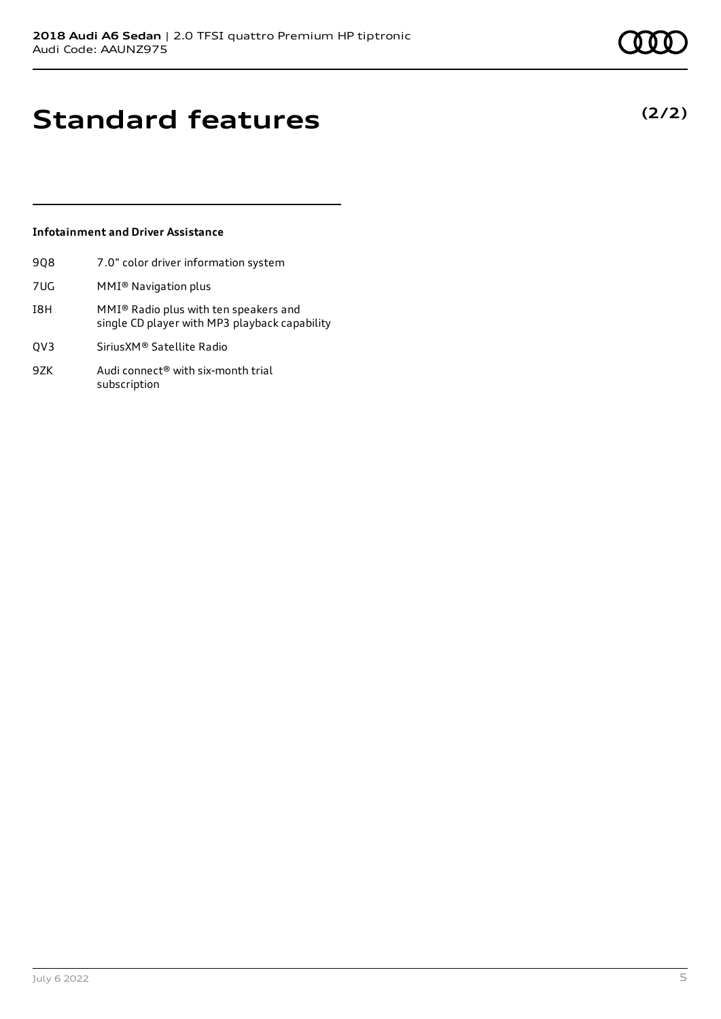**(2/2)**

# **Standard features**

## **Infotainment and Driver Assistance**

- 9Q8 7.0" color driver information system
- 7UG MMI® Navigation plus
- I8H MMI® Radio plus with ten speakers and single CD player with MP3 playback capability
- QV3 SiriusXM® Satellite Radio
- 9ZK Audi connect<sup>®</sup> with six-month trial subscription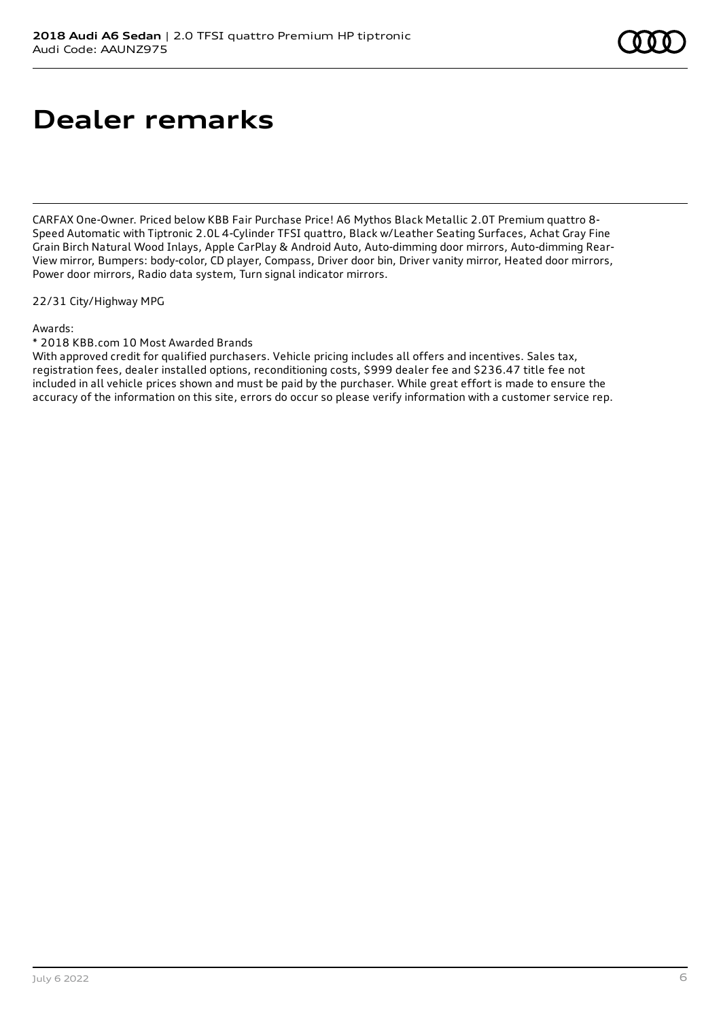# **Dealer remarks**

CARFAX One-Owner. Priced below KBB Fair Purchase Price! A6 Mythos Black Metallic 2.0T Premium quattro 8- Speed Automatic with Tiptronic 2.0L 4-Cylinder TFSI quattro, Black w/Leather Seating Surfaces, Achat Gray Fine Grain Birch Natural Wood Inlays, Apple CarPlay & Android Auto, Auto-dimming door mirrors, Auto-dimming Rear-View mirror, Bumpers: body-color, CD player, Compass, Driver door bin, Driver vanity mirror, Heated door mirrors, Power door mirrors, Radio data system, Turn signal indicator mirrors.

22/31 City/Highway MPG

Awards:

\* 2018 KBB.com 10 Most Awarded Brands

With approved credit for qualified purchasers. Vehicle pricing includes all offers and incentives. Sales tax, registration fees, dealer installed options, reconditioning costs, \$999 dealer fee and \$236.47 title fee not included in all vehicle prices shown and must be paid by the purchaser. While great effort is made to ensure the accuracy of the information on this site, errors do occur so please verify information with a customer service rep.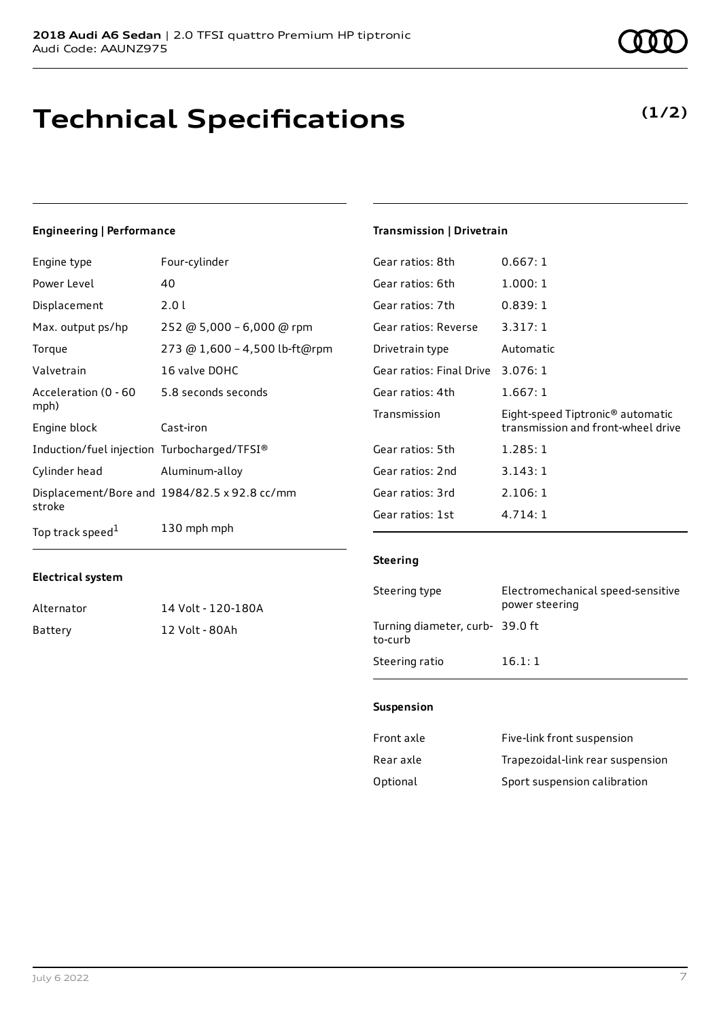# **Technical Specifications**

#### July 6 2022 7

# **Engineering | Performance**

| Engine type                                 | Four-cylinder                                |
|---------------------------------------------|----------------------------------------------|
| Power Level                                 | 40                                           |
| Displacement                                | 2.0 L                                        |
| Max. output ps/hp                           | 252 @ 5,000 - 6,000 @ rpm                    |
| Torque                                      | 273 @ 1,600 - 4,500 lb-ft@rpm                |
| Valvetrain                                  | 16 valve DOHC                                |
| Acceleration (0 - 60<br>mph)                | 5.8 seconds seconds                          |
| Engine block                                | Cast-iron                                    |
| Induction/fuel injection Turbocharged/TFSI® |                                              |
| Cylinder head                               | Aluminum-alloy                               |
| stroke                                      | Displacement/Bore and 1984/82.5 x 92.8 cc/mm |
| Top track speed <sup>1</sup>                | 130 mph mph                                  |

#### **Electrical system**

| Alternator | 14 Volt - 120-180A |
|------------|--------------------|
| Battery    | 12 Volt - 80Ah     |

# **Transmission | Drivetrain**

| Gear ratios: 8th                  | 0.667:1                                                                            |
|-----------------------------------|------------------------------------------------------------------------------------|
| Gear ratios: 6th                  | 1.000:1                                                                            |
| Gear ratios: 7th                  | 0.839:1                                                                            |
| Gear ratios: Reverse              | 3.317:1                                                                            |
| Drivetrain type                   | Automatic                                                                          |
| Gear ratios: Final Drive 3.076: 1 |                                                                                    |
| Gear ratios: 4th                  | 1.667:1                                                                            |
| Transmission                      | Eight-speed Tiptronic <sup>®</sup> automatic<br>transmission and front-wheel drive |
| Gear ratios: 5th                  | 1.285:1                                                                            |
| Gear ratios: 2nd                  | 3.143:1                                                                            |
| Gear ratios: 3rd                  | 2.106:1                                                                            |
| Gear ratios: 1st                  | 4.714:1                                                                            |

#### **Steering**

| Steering type                             | Electromechanical speed-sensitive<br>power steering |
|-------------------------------------------|-----------------------------------------------------|
| Turning diameter, curb-39.0 ft<br>to-curb |                                                     |
| Steering ratio                            | 16.1:1                                              |

#### **Suspension**

| Front axle | Five-link front suspension       |
|------------|----------------------------------|
| Rear axle  | Trapezoidal-link rear suspension |
| Optional   | Sport suspension calibration     |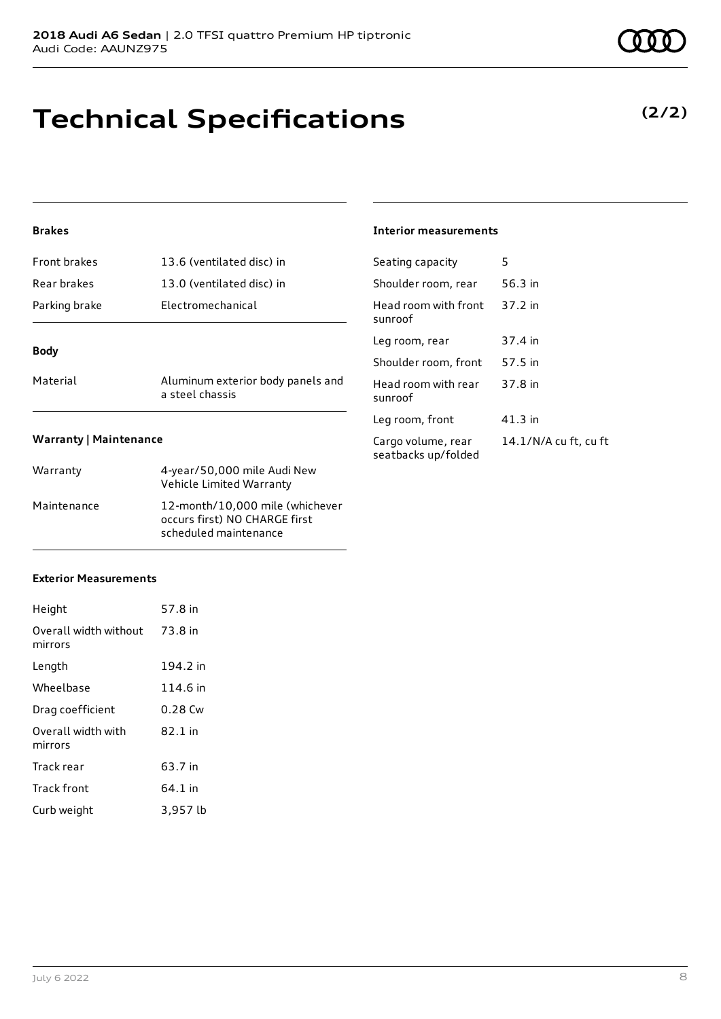# **Technical Specifications**

## **Brakes**

| Material      | Aluminum exterior body panels and |
|---------------|-----------------------------------|
| <b>Body</b>   |                                   |
| Parking brake | Electromechanical                 |
| Rear brakes   | 13.0 (ventilated disc) in         |
| Front brakes  | 13.6 (ventilated disc) in         |

a steel chassis

#### **Interior measurements**

| Seating capacity                          | 5                     |
|-------------------------------------------|-----------------------|
| Shoulder room, rear                       | 56.3 in               |
| Head room with front<br>sunroof           | 37.2 in               |
| Leg room, rear                            | 37.4 in               |
| Shoulder room, front                      | 57.5 in               |
| Head room with rear<br>sunroof            | 37.8 in               |
| Leg room, front                           | 41.3 in               |
| Cargo volume, rear<br>seatbacks up/folded | 14.1/N/A cu ft, cu ft |

#### **Warranty | Maintenance**

| Warranty    | 4-year/50,000 mile Audi New<br>Vehicle Limited Warranty                                   |
|-------------|-------------------------------------------------------------------------------------------|
| Maintenance | 12-month/10,000 mile (whichever<br>occurs first) NO CHARGE first<br>scheduled maintenance |

### **Exterior Measurements**

| Height                           | 57.8 in  |
|----------------------------------|----------|
| Overall width without<br>mirrors | 73.8 in  |
| Length                           | 194.2 in |
| Wheelbase                        | 114.6 in |
| Drag coefficient                 | 0.28 Cw  |
| Overall width with<br>mirrors    | 82.1 in  |
| Track rear                       | 63.7 in  |
| Track front                      | 64.1 in  |
| Curb weight                      | 3,957 lb |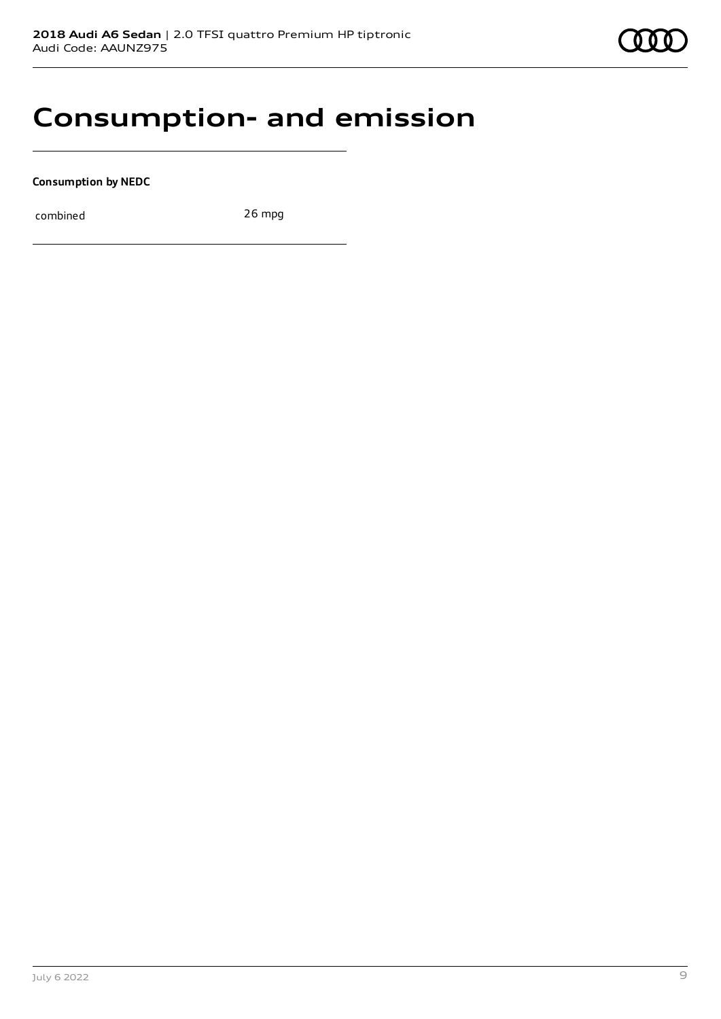

# **Consumption- and emission**

**Consumption by NEDC**

combined 26 mpg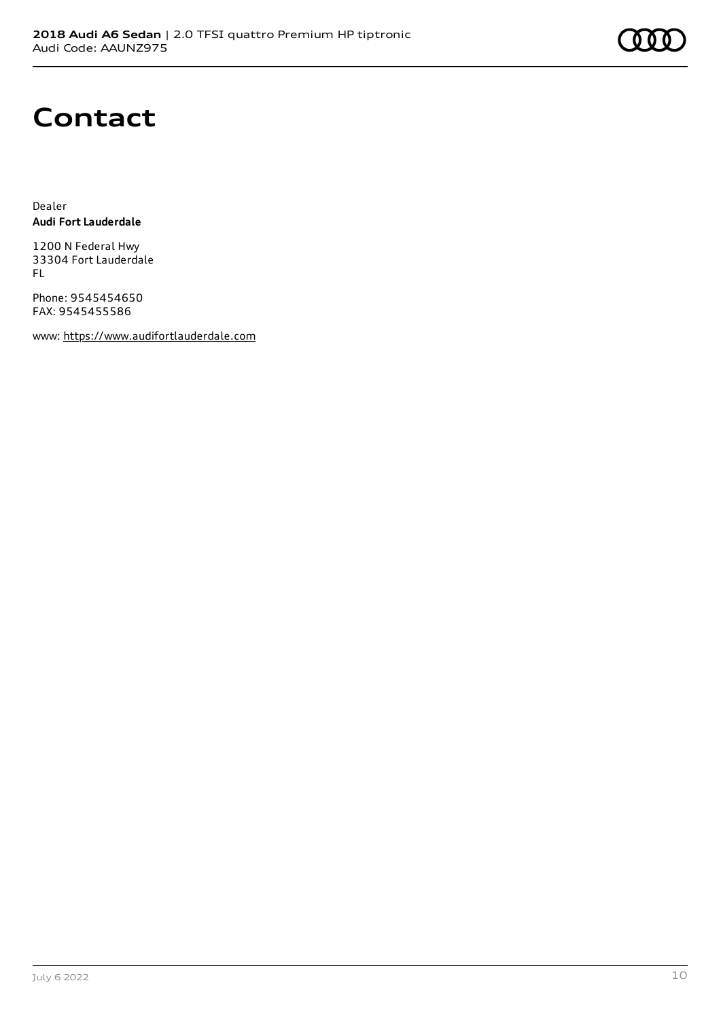# **Contact**

Dealer **Audi Fort Lauderdale**

1200 N Federal Hwy 33304 Fort Lauderdale FL

Phone: 9545454650 FAX: 9545455586

www: [https://www.audifortlauderdale.com](https://www.audifortlauderdale.com/)